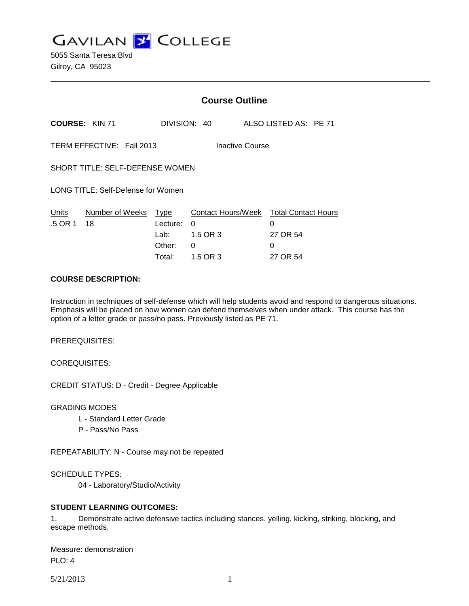**GAVILAN 2 COLLEGE** 

5055 Santa Teresa Blvd Gilroy, CA 95023

|                                                     |                       | <b>Course Outline</b>                        |                                                      |                                                              |  |
|-----------------------------------------------------|-----------------------|----------------------------------------------|------------------------------------------------------|--------------------------------------------------------------|--|
|                                                     | <b>COURSE: KIN 71</b> |                                              | DIVISION: 40                                         | ALSO LISTED AS: PE 71                                        |  |
| TERM EFFECTIVE: Fall 2013<br><b>Inactive Course</b> |                       |                                              |                                                      |                                                              |  |
| SHORT TITLE: SELF-DEFENSE WOMEN                     |                       |                                              |                                                      |                                                              |  |
| LONG TITLE: Self-Defense for Women                  |                       |                                              |                                                      |                                                              |  |
| Units<br>.5 OR 1                                    | Number of Weeks<br>18 | Type<br>Lecture:<br>Lab:<br>Other:<br>Total: | Contact Hours/Week<br>0<br>1.5 OR 3<br>0<br>1.5 OR 3 | <b>Total Contact Hours</b><br>0<br>27 OR 54<br>0<br>27 OR 54 |  |

### **COURSE DESCRIPTION:**

Instruction in techniques of self-defense which will help students avoid and respond to dangerous situations. Emphasis will be placed on how women can defend themselves when under attack. This course has the option of a letter grade or pass/no pass. Previously listed as PE 71.

PREREQUISITES:

COREQUISITES:

CREDIT STATUS: D - Credit - Degree Applicable

GRADING MODES

- L Standard Letter Grade
- P Pass/No Pass

REPEATABILITY: N - Course may not be repeated

SCHEDULE TYPES:

04 - Laboratory/Studio/Activity

### **STUDENT LEARNING OUTCOMES:**

1. Demonstrate active defensive tactics including stances, yelling, kicking, striking, blocking, and escape methods.

Measure: demonstration PLO: 4

5/21/2013 1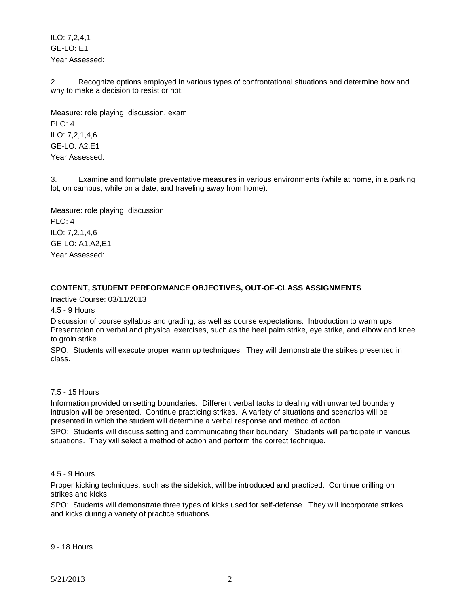ILO: 7,2,4,1 GE-LO: E1 Year Assessed:

2. Recognize options employed in various types of confrontational situations and determine how and why to make a decision to resist or not.

Measure: role playing, discussion, exam PLO: 4 ILO: 7,2,1,4,6 GE-LO: A2,E1 Year Assessed:

3. Examine and formulate preventative measures in various environments (while at home, in a parking lot, on campus, while on a date, and traveling away from home).

Measure: role playing, discussion PLO: 4 ILO: 7,2,1,4,6 GE-LO: A1,A2,E1 Year Assessed:

## **CONTENT, STUDENT PERFORMANCE OBJECTIVES, OUT-OF-CLASS ASSIGNMENTS**

Inactive Course: 03/11/2013

4.5 - 9 Hours

Discussion of course syllabus and grading, as well as course expectations. Introduction to warm ups. Presentation on verbal and physical exercises, such as the heel palm strike, eye strike, and elbow and knee to groin strike.

SPO: Students will execute proper warm up techniques. They will demonstrate the strikes presented in class.

## 7.5 - 15 Hours

Information provided on setting boundaries. Different verbal tacks to dealing with unwanted boundary intrusion will be presented. Continue practicing strikes. A variety of situations and scenarios will be presented in which the student will determine a verbal response and method of action.

SPO: Students will discuss setting and communicating their boundary. Students will participate in various situations. They will select a method of action and perform the correct technique.

### 4.5 - 9 Hours

Proper kicking techniques, such as the sidekick, will be introduced and practiced. Continue drilling on strikes and kicks.

SPO: Students will demonstrate three types of kicks used for self-defense. They will incorporate strikes and kicks during a variety of practice situations.

9 - 18 Hours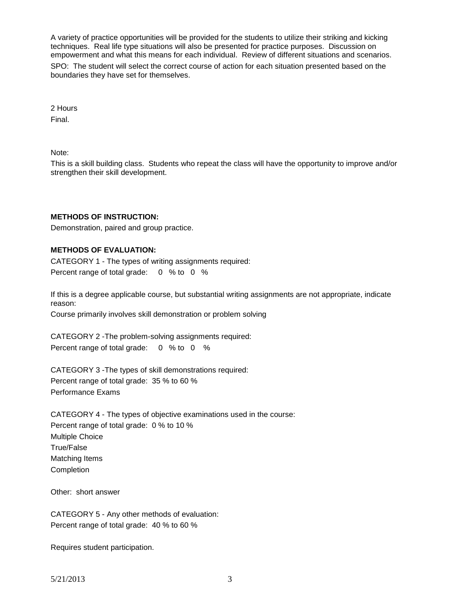A variety of practice opportunities will be provided for the students to utilize their striking and kicking techniques. Real life type situations will also be presented for practice purposes. Discussion on empowerment and what this means for each individual. Review of different situations and scenarios. SPO: The student will select the correct course of action for each situation presented based on the boundaries they have set for themselves.

2 Hours

Final.

Note:

This is a skill building class. Students who repeat the class will have the opportunity to improve and/or strengthen their skill development.

# **METHODS OF INSTRUCTION:**

Demonstration, paired and group practice.

# **METHODS OF EVALUATION:**

CATEGORY 1 - The types of writing assignments required: Percent range of total grade: 0 % to 0 %

If this is a degree applicable course, but substantial writing assignments are not appropriate, indicate reason:

Course primarily involves skill demonstration or problem solving

CATEGORY 2 -The problem-solving assignments required: Percent range of total grade: 0 % to 0 %

CATEGORY 3 -The types of skill demonstrations required: Percent range of total grade: 35 % to 60 % Performance Exams

CATEGORY 4 - The types of objective examinations used in the course: Percent range of total grade: 0 % to 10 % Multiple Choice True/False Matching Items Completion

Other: short answer

CATEGORY 5 - Any other methods of evaluation: Percent range of total grade: 40 % to 60 %

Requires student participation.